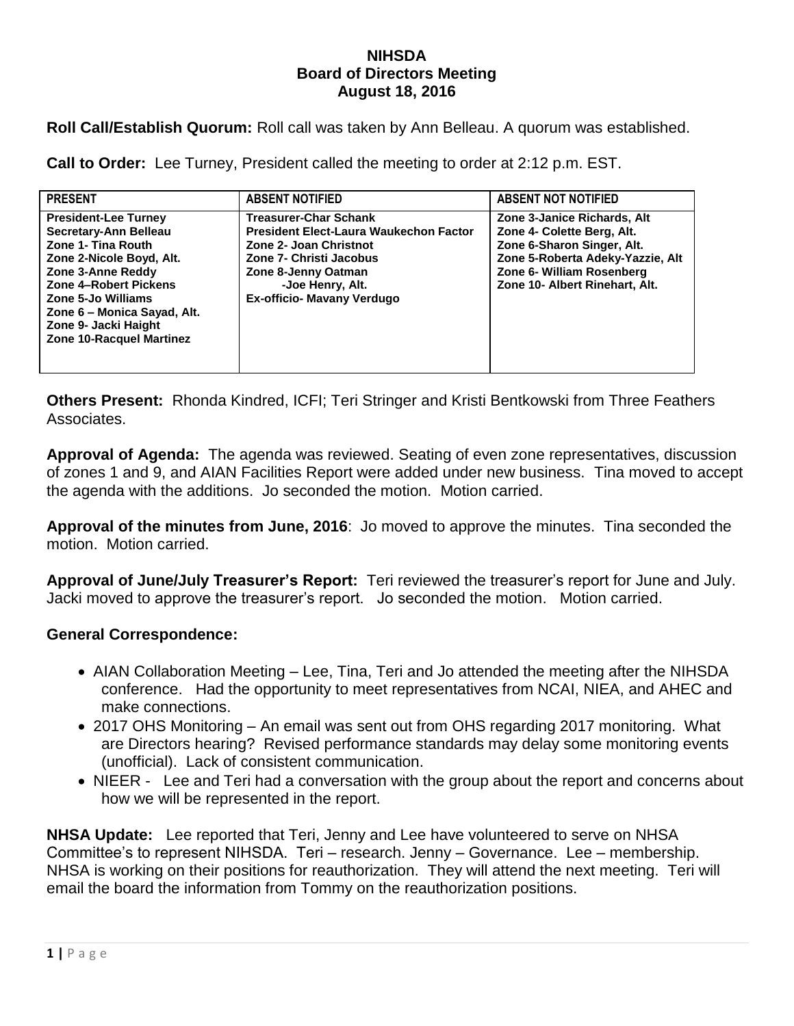## **NIHSDA Board of Directors Meeting August 18, 2016**

**Roll Call/Establish Quorum:** Roll call was taken by Ann Belleau. A quorum was established.

**Call to Order:** Lee Turney, President called the meeting to order at 2:12 p.m. EST.

| <b>PRESENT</b>                                                                                                                                                                                                                                                       | <b>ABSENT NOTIFIED</b>                                                                                                                                                                                      | <b>ABSENT NOT NOTIFIED</b>                                                                                                                                                                 |
|----------------------------------------------------------------------------------------------------------------------------------------------------------------------------------------------------------------------------------------------------------------------|-------------------------------------------------------------------------------------------------------------------------------------------------------------------------------------------------------------|--------------------------------------------------------------------------------------------------------------------------------------------------------------------------------------------|
| <b>President-Lee Turney</b><br>Secretary-Ann Belleau<br>Zone 1- Tina Routh<br>Zone 2-Nicole Boyd, Alt.<br>Zone 3-Anne Reddy<br>Zone 4-Robert Pickens<br>Zone 5-Jo Williams<br>Zone 6 - Monica Sayad, Alt.<br>Zone 9- Jacki Haight<br><b>Zone 10-Racquel Martinez</b> | <b>Treasurer-Char Schank</b><br><b>President Elect-Laura Waukechon Factor</b><br>Zone 2- Joan Christnot<br>Zone 7- Christi Jacobus<br>Zone 8-Jenny Oatman<br>-Joe Henry, Alt.<br>Ex-officio- Mavany Verdugo | Zone 3-Janice Richards, Alt<br>Zone 4- Colette Berg, Alt.<br>Zone 6-Sharon Singer, Alt.<br>Zone 5-Roberta Adeky-Yazzie, Alt<br>Zone 6- William Rosenberg<br>Zone 10- Albert Rinehart, Alt. |

**Others Present:** Rhonda Kindred, ICFI; Teri Stringer and Kristi Bentkowski from Three Feathers Associates.

**Approval of Agenda:** The agenda was reviewed. Seating of even zone representatives, discussion of zones 1 and 9, and AIAN Facilities Report were added under new business. Tina moved to accept the agenda with the additions. Jo seconded the motion. Motion carried.

**Approval of the minutes from June, 2016**: Jo moved to approve the minutes. Tina seconded the motion. Motion carried.

**Approval of June/July Treasurer's Report:** Teri reviewed the treasurer's report for June and July. Jacki moved to approve the treasurer's report. Jo seconded the motion. Motion carried.

## **General Correspondence:**

- AIAN Collaboration Meeting Lee, Tina, Teri and Jo attended the meeting after the NIHSDA conference. Had the opportunity to meet representatives from NCAI, NIEA, and AHEC and make connections.
- 2017 OHS Monitoring An email was sent out from OHS regarding 2017 monitoring. What are Directors hearing? Revised performance standards may delay some monitoring events (unofficial). Lack of consistent communication.
- NIEER Lee and Teri had a conversation with the group about the report and concerns about how we will be represented in the report.

**NHSA Update:** Lee reported that Teri, Jenny and Lee have volunteered to serve on NHSA Committee's to represent NIHSDA. Teri – research. Jenny – Governance. Lee – membership. NHSA is working on their positions for reauthorization. They will attend the next meeting. Teri will email the board the information from Tommy on the reauthorization positions.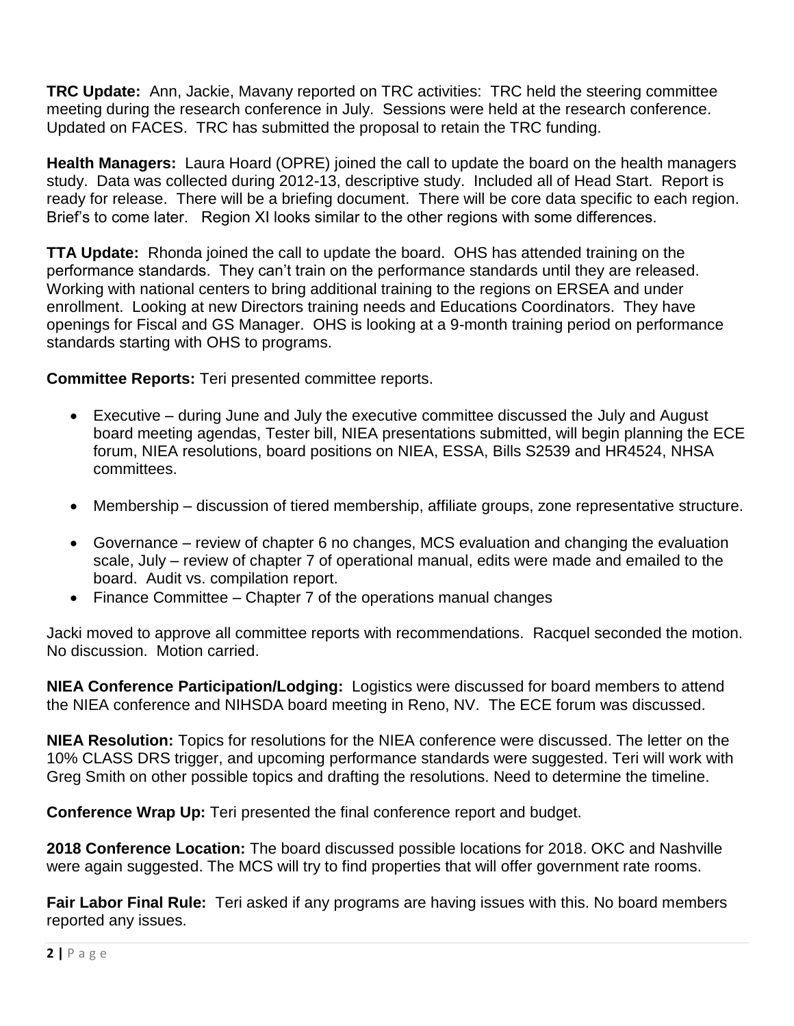**TRC Update:** Ann, Jackie, Mavany reported on TRC activities: TRC held the steering committee meeting during the research conference in July. Sessions were held at the research conference. Updated on FACES. TRC has submitted the proposal to retain the TRC funding.

**Health Managers:** Laura Hoard (OPRE) joined the call to update the board on the health managers study. Data was collected during 2012-13, descriptive study. Included all of Head Start. Report is ready for release. There will be a briefing document. There will be core data specific to each region. Brief's to come later. Region XI looks similar to the other regions with some differences.

**TTA Update:** Rhonda joined the call to update the board. OHS has attended training on the performance standards. They can't train on the performance standards until they are released. Working with national centers to bring additional training to the regions on ERSEA and under enrollment. Looking at new Directors training needs and Educations Coordinators. They have openings for Fiscal and GS Manager. OHS is looking at a 9-month training period on performance standards starting with OHS to programs.

**Committee Reports:** Teri presented committee reports.

- Executive during June and July the executive committee discussed the July and August board meeting agendas, Tester bill, NIEA presentations submitted, will begin planning the ECE forum, NIEA resolutions, board positions on NIEA, ESSA, Bills S2539 and HR4524, NHSA committees.
- Membership discussion of tiered membership, affiliate groups, zone representative structure.
- Governance review of chapter 6 no changes, MCS evaluation and changing the evaluation scale, July – review of chapter 7 of operational manual, edits were made and emailed to the board. Audit vs. compilation report.
- Finance Committee Chapter 7 of the operations manual changes

Jacki moved to approve all committee reports with recommendations. Racquel seconded the motion. No discussion. Motion carried.

**NIEA Conference Participation/Lodging:** Logistics were discussed for board members to attend the NIEA conference and NIHSDA board meeting in Reno, NV. The ECE forum was discussed.

**NIEA Resolution:** Topics for resolutions for the NIEA conference were discussed. The letter on the 10% CLASS DRS trigger, and upcoming performance standards were suggested. Teri will work with Greg Smith on other possible topics and drafting the resolutions. Need to determine the timeline.

**Conference Wrap Up:** Teri presented the final conference report and budget.

**2018 Conference Location:** The board discussed possible locations for 2018. OKC and Nashville were again suggested. The MCS will try to find properties that will offer government rate rooms.

**Fair Labor Final Rule:** Teri asked if any programs are having issues with this. No board members reported any issues.